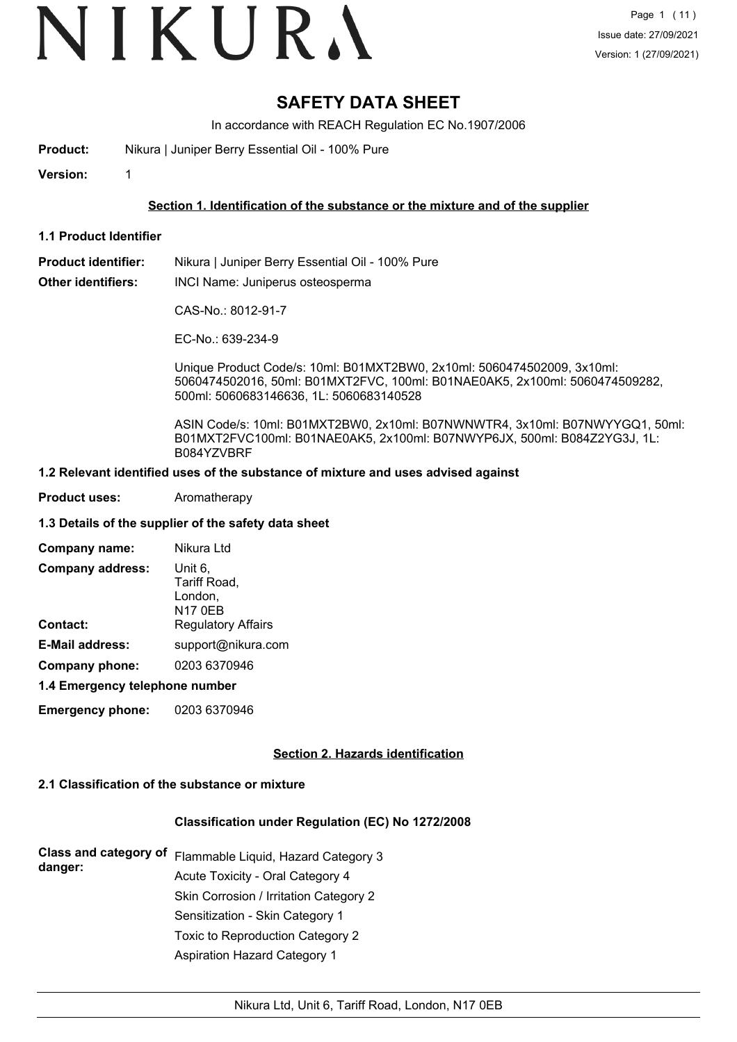# VIKURA

## **SAFETY DATA SHEET**

In accordance with REACH Regulation EC No.1907/2006

**Product:** Nikura | Juniper Berry Essential Oil - 100% Pure

**Version:** 1

#### **Section 1. Identification of the substance or the mixture and of the supplier**

**1.1 Product Identifier**

**Product identifier:** Nikura | Juniper Berry Essential Oil - 100% Pure

**Other identifiers:** INCI Name: Juniperus osteosperma

CAS-No.: 8012-91-7

EC-No.: 639-234-9

Unique Product Code/s: 10ml: B01MXT2BW0, 2x10ml: 5060474502009, 3x10ml: 5060474502016, 50ml: B01MXT2FVC, 100ml: B01NAE0AK5, 2x100ml: 5060474509282, 500ml: 5060683146636, 1L: 5060683140528

ASIN Code/s: 10ml: B01MXT2BW0, 2x10ml: B07NWNWTR4, 3x10ml: B07NWYYGQ1, 50ml: B01MXT2FVC100ml: B01NAE0AK5, 2x100ml: B07NWYP6JX, 500ml: B084Z2YG3J, 1L: B084YZVBRF

#### **1.2 Relevant identified uses of the substance of mixture and uses advised against**

**Product uses:** Aromatherapy

#### **1.3 Details of the supplier of the safety data sheet**

| Company name:                  | Nikura Ltd                                           |
|--------------------------------|------------------------------------------------------|
| <b>Company address:</b>        | Unit 6.<br>Tariff Road,<br>London,<br><b>N17 0EB</b> |
| <b>Contact:</b>                | <b>Regulatory Affairs</b>                            |
| <b>E-Mail address:</b>         | support@nikura.com                                   |
| Company phone:                 | 0203 6370946                                         |
| 4.4 Emarganau talanhana numbar |                                                      |

#### **1.4 Emergency telephone number**

**Emergency phone:** 0203 6370946

#### **Section 2. Hazards identification**

#### **2.1 Classification of the substance or mixture**

#### **Classification under Regulation (EC) No 1272/2008**

| <b>Class and category of</b> | Flammable Liquid, Hazard Category 3    |  |  |
|------------------------------|----------------------------------------|--|--|
| danger:                      | Acute Toxicity - Oral Category 4       |  |  |
|                              | Skin Corrosion / Irritation Category 2 |  |  |
|                              | Sensitization - Skin Category 1        |  |  |
|                              | Toxic to Reproduction Category 2       |  |  |
|                              | <b>Aspiration Hazard Category 1</b>    |  |  |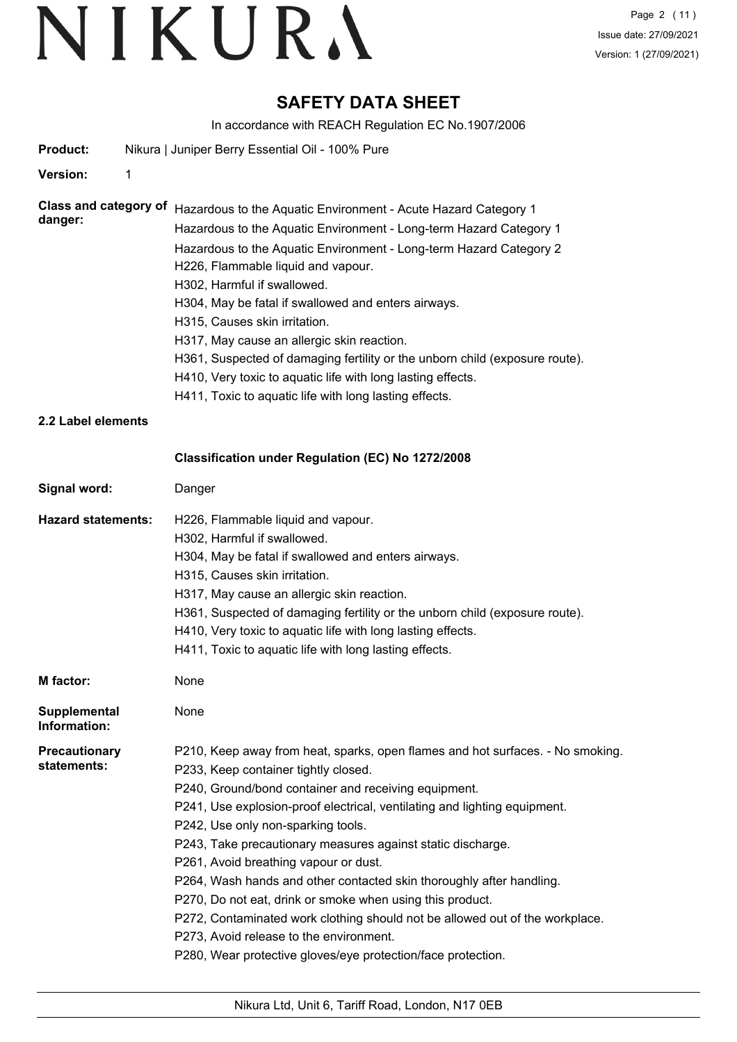## **SAFETY DATA SHEET**

In accordance with REACH Regulation EC No.1907/2006

| <b>Product:</b>                         | Nikura   Juniper Berry Essential Oil - 100% Pure                                                                                                                                                                                                                                                                                                                                                                                                                                                                                                                                                                                                                                                                                          |
|-----------------------------------------|-------------------------------------------------------------------------------------------------------------------------------------------------------------------------------------------------------------------------------------------------------------------------------------------------------------------------------------------------------------------------------------------------------------------------------------------------------------------------------------------------------------------------------------------------------------------------------------------------------------------------------------------------------------------------------------------------------------------------------------------|
| <b>Version:</b><br>1                    |                                                                                                                                                                                                                                                                                                                                                                                                                                                                                                                                                                                                                                                                                                                                           |
| <b>Class and category of</b><br>danger: | Hazardous to the Aquatic Environment - Acute Hazard Category 1<br>Hazardous to the Aquatic Environment - Long-term Hazard Category 1<br>Hazardous to the Aquatic Environment - Long-term Hazard Category 2<br>H226, Flammable liquid and vapour.<br>H302, Harmful if swallowed.<br>H304, May be fatal if swallowed and enters airways.<br>H315, Causes skin irritation.<br>H317, May cause an allergic skin reaction.<br>H361, Suspected of damaging fertility or the unborn child (exposure route).<br>H410, Very toxic to aquatic life with long lasting effects.<br>H411, Toxic to aquatic life with long lasting effects.                                                                                                             |
| 2.2 Label elements                      |                                                                                                                                                                                                                                                                                                                                                                                                                                                                                                                                                                                                                                                                                                                                           |
|                                         | Classification under Regulation (EC) No 1272/2008                                                                                                                                                                                                                                                                                                                                                                                                                                                                                                                                                                                                                                                                                         |
| Signal word:                            | Danger                                                                                                                                                                                                                                                                                                                                                                                                                                                                                                                                                                                                                                                                                                                                    |
| <b>Hazard statements:</b>               | H226, Flammable liquid and vapour.<br>H302, Harmful if swallowed.<br>H304, May be fatal if swallowed and enters airways.<br>H315, Causes skin irritation.<br>H317, May cause an allergic skin reaction.<br>H361, Suspected of damaging fertility or the unborn child (exposure route).<br>H410, Very toxic to aquatic life with long lasting effects.<br>H411, Toxic to aquatic life with long lasting effects.                                                                                                                                                                                                                                                                                                                           |
| <b>M</b> factor:                        | None                                                                                                                                                                                                                                                                                                                                                                                                                                                                                                                                                                                                                                                                                                                                      |
| <b>Supplemental</b><br>Information:     | None                                                                                                                                                                                                                                                                                                                                                                                                                                                                                                                                                                                                                                                                                                                                      |
| Precautionary<br>statements:            | P210, Keep away from heat, sparks, open flames and hot surfaces. - No smoking.<br>P233, Keep container tightly closed.<br>P240, Ground/bond container and receiving equipment.<br>P241, Use explosion-proof electrical, ventilating and lighting equipment.<br>P242, Use only non-sparking tools.<br>P243, Take precautionary measures against static discharge.<br>P261, Avoid breathing vapour or dust.<br>P264, Wash hands and other contacted skin thoroughly after handling.<br>P270, Do not eat, drink or smoke when using this product.<br>P272, Contaminated work clothing should not be allowed out of the workplace.<br>P273, Avoid release to the environment.<br>P280, Wear protective gloves/eye protection/face protection. |
|                                         |                                                                                                                                                                                                                                                                                                                                                                                                                                                                                                                                                                                                                                                                                                                                           |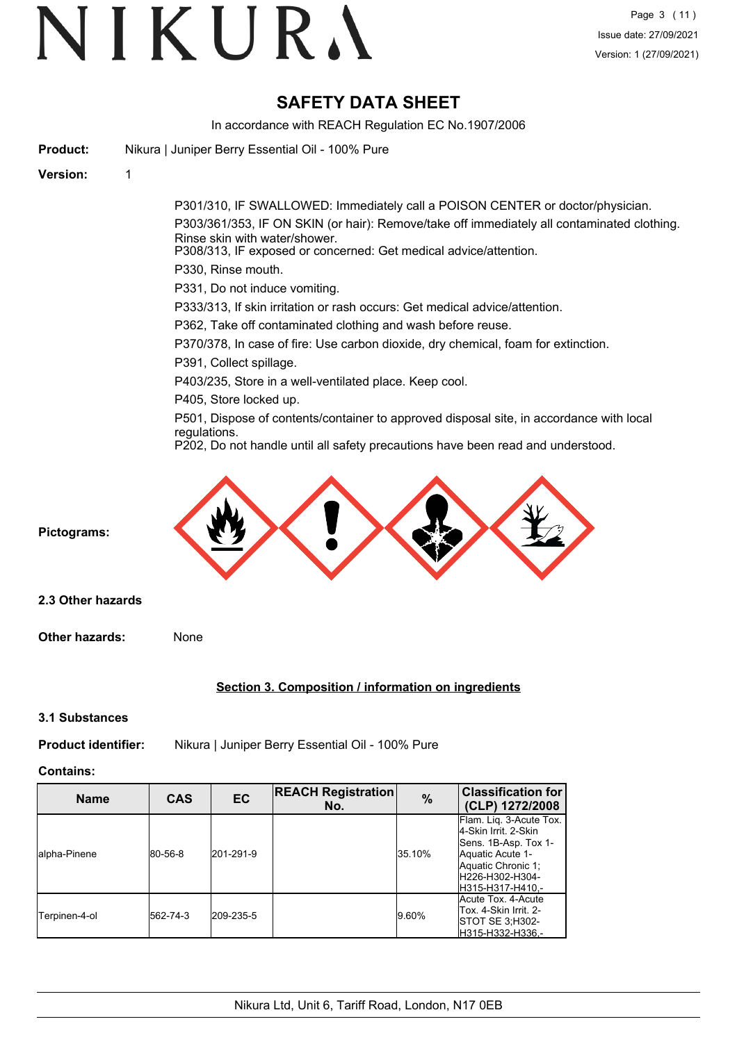## **SAFETY DATA SHEET**

In accordance with REACH Regulation EC No.1907/2006

| <b>Product:</b>            | Nikura   Juniper Berry Essential Oil - 100% Pure                                                                                                                                                |
|----------------------------|-------------------------------------------------------------------------------------------------------------------------------------------------------------------------------------------------|
| <b>Version:</b>            | 1                                                                                                                                                                                               |
|                            | P301/310, IF SWALLOWED: Immediately call a POISON CENTER or doctor/physician.                                                                                                                   |
|                            | P303/361/353, IF ON SKIN (or hair): Remove/take off immediately all contaminated clothing.<br>Rinse skin with water/shower.<br>P308/313, IF exposed or concerned: Get medical advice/attention. |
|                            | P330, Rinse mouth.                                                                                                                                                                              |
|                            | P331, Do not induce vomiting.                                                                                                                                                                   |
|                            | P333/313, If skin irritation or rash occurs: Get medical advice/attention.                                                                                                                      |
|                            | P362, Take off contaminated clothing and wash before reuse.                                                                                                                                     |
|                            | P370/378, In case of fire: Use carbon dioxide, dry chemical, foam for extinction.                                                                                                               |
|                            | P391, Collect spillage.                                                                                                                                                                         |
|                            | P403/235, Store in a well-ventilated place. Keep cool.                                                                                                                                          |
|                            | P405, Store locked up.                                                                                                                                                                          |
|                            | P501, Dispose of contents/container to approved disposal site, in accordance with local<br>regulations.                                                                                         |
|                            | P202, Do not handle until all safety precautions have been read and understood.                                                                                                                 |
| Pictograms:                |                                                                                                                                                                                                 |
| 2.3 Other hazards          |                                                                                                                                                                                                 |
| <b>Other hazards:</b>      | None                                                                                                                                                                                            |
|                            | Section 3. Composition / information on ingredients                                                                                                                                             |
| 3.1 Substances             |                                                                                                                                                                                                 |
| <b>Product identifier:</b> | Nikura   Juniper Berry Essential Oil - 100% Pure                                                                                                                                                |

**Contains:**

| <b>Name</b>   | <b>CAS</b> | EC        | <b>REACH Registration</b><br>No. | $\%$   | <b>Classification for</b><br>(CLP) 1272/2008                                                                                                               |
|---------------|------------|-----------|----------------------------------|--------|------------------------------------------------------------------------------------------------------------------------------------------------------------|
| Jalpha-Pinene | 80-56-8    | 201-291-9 |                                  | 35.10% | Flam. Lig. 3-Acute Tox.<br>4-Skin Irrit, 2-Skin<br>Sens. 1B-Asp. Tox 1-<br>Aquatic Acute 1-<br>Aquatic Chronic 1:<br>IH226-H302-H304-<br>IH315-H317-H410.- |
| Terpinen-4-ol | 562-74-3   | 209-235-5 |                                  | 9.60%  | Acute Tox. 4-Acute<br>Tox. 4-Skin Irrit. 2-<br> STOT SE 3:H302-<br>lH315-H332-H336.-                                                                       |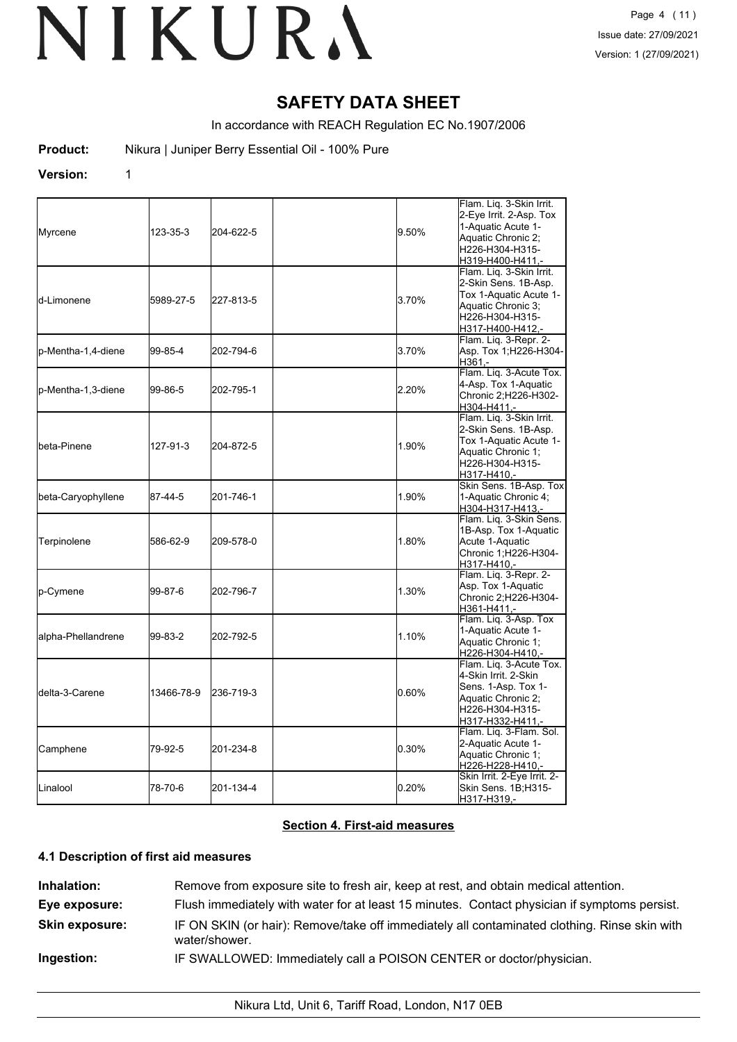## **SAFETY DATA SHEET**

In accordance with REACH Regulation EC No.1907/2006

**Product:** Nikura | Juniper Berry Essential Oil - 100% Pure

#### **Version:** 1

| Myrcene                 | 123-35-3   | 204-622-5 | 9.50% | Flam. Liq. 3-Skin Irrit.<br>2-Eye Irrit. 2-Asp. Tox<br>1-Aquatic Acute 1-<br>Aquatic Chronic 2:<br>H226-H304-H315-<br>H319-H400-H411,-  |
|-------------------------|------------|-----------|-------|-----------------------------------------------------------------------------------------------------------------------------------------|
| <b>I</b> d-Limonene     | 5989-27-5  | 227-813-5 | 3.70% | Flam. Lig. 3-Skin Irrit.<br>2-Skin Sens. 1B-Asp.<br>Tox 1-Aquatic Acute 1-<br>Aquatic Chronic 3;<br>H226-H304-H315-<br>H317-H400-H412,- |
| p-Mentha-1,4-diene      | 99-85-4    | 202-794-6 | 3.70% | Flam. Lig. 3-Repr. 2-<br>Asp. Tox 1;H226-H304-<br>H361.-                                                                                |
| lp-Mentha-1,3-diene     | 99-86-5    | 202-795-1 | 2.20% | Flam. Lig. 3-Acute Tox.<br>4-Asp. Tox 1-Aquatic<br>Chronic 2:H226-H302-<br>H304-H411.-                                                  |
| <b>l</b> beta-Pinene    | 127-91-3   | 204-872-5 | 1.90% | Flam. Liq. 3-Skin Irrit.<br>2-Skin Sens. 1B-Asp.<br>Tox 1-Aquatic Acute 1-<br>Aquatic Chronic 1;<br>H226-H304-H315-<br>H317-H410,-      |
| beta-Caryophyllene      | 87-44-5    | 201-746-1 | 1.90% | Skin Sens. 1B-Asp. Tox<br>1-Aquatic Chronic 4;<br>H304-H317-H413,-                                                                      |
| Terpinolene             | 586-62-9   | 209-578-0 | 1.80% | Flam. Lig. 3-Skin Sens.<br>1B-Asp. Tox 1-Aquatic<br>Acute 1-Aquatic<br>Chronic 1;H226-H304-<br>H317-H410,-                              |
| p-Cymene                | 99-87-6    | 202-796-7 | 1.30% | Flam. Liq. 3-Repr. 2-<br>Asp. Tox 1-Aquatic<br>Chronic 2;H226-H304-<br>H361-H411,-                                                      |
| alpha-Phellandrene      | 99-83-2    | 202-792-5 | 1.10% | Flam. Liq. 3-Asp. Tox<br>1-Aquatic Acute 1-<br>Aquatic Chronic 1;<br>H226-H304-H410,-                                                   |
| <b>I</b> delta-3-Carene | 13466-78-9 | 236-719-3 | 0.60% | Flam. Liq. 3-Acute Tox.<br>4-Skin Irrit. 2-Skin<br>Sens. 1-Asp. Tox 1-<br>Aquatic Chronic 2;<br>H226-H304-H315-<br>H317-H332-H411,-     |
| Camphene                | 79-92-5    | 201-234-8 | 0.30% | Flam. Liq. 3-Flam. Sol.<br>2-Aquatic Acute 1-<br>Aquatic Chronic 1;<br>H226-H228-H410,-                                                 |
| <b>L</b> inalool        | 78-70-6    | 201-134-4 | 0.20% | Skin Irrit. 2-Eye Irrit. 2-<br>Skin Sens. 1B;H315-<br>H317-H319,-                                                                       |

#### **Section 4. First-aid measures**

#### **4.1 Description of first aid measures**

| Inhalation:           | Remove from exposure site to fresh air, keep at rest, and obtain medical attention.                           |  |  |  |
|-----------------------|---------------------------------------------------------------------------------------------------------------|--|--|--|
| Eye exposure:         | Flush immediately with water for at least 15 minutes. Contact physician if symptoms persist.                  |  |  |  |
| <b>Skin exposure:</b> | IF ON SKIN (or hair): Remove/take off immediately all contaminated clothing. Rinse skin with<br>water/shower. |  |  |  |
| Ingestion:            | IF SWALLOWED: Immediately call a POISON CENTER or doctor/physician.                                           |  |  |  |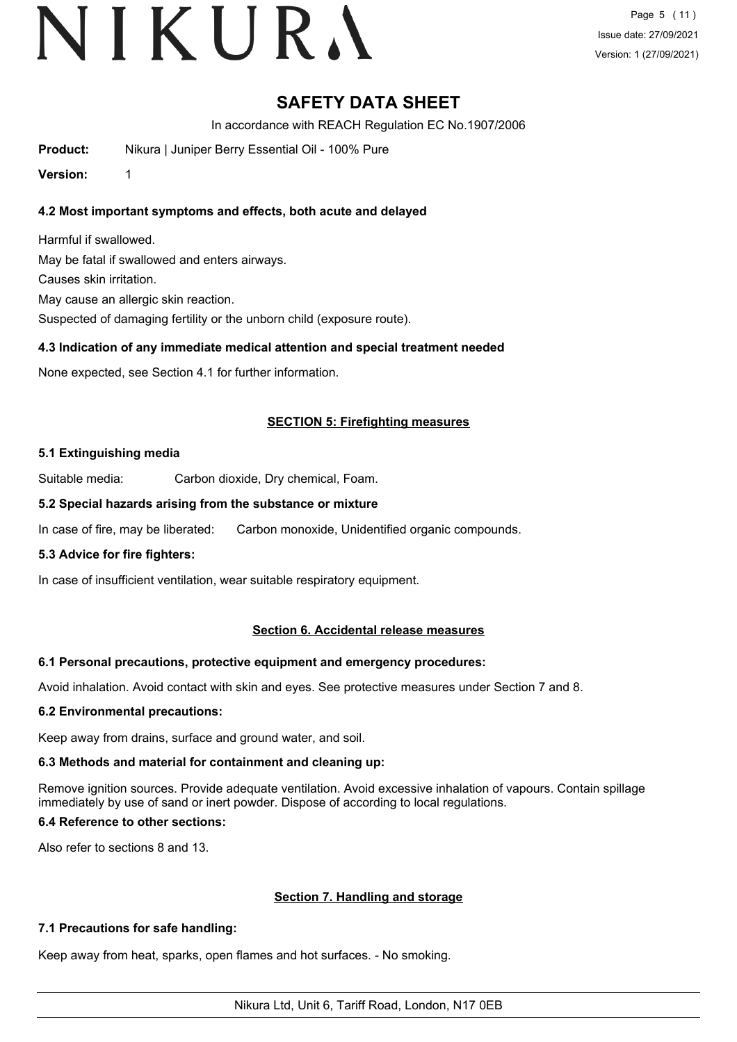## **SAFETY DATA SHEET**

In accordance with REACH Regulation EC No.1907/2006

**Product:** Nikura | Juniper Berry Essential Oil - 100% Pure

**Version:** 1

### **4.2 Most important symptoms and effects, both acute and delayed**

Harmful if swallowed. May be fatal if swallowed and enters airways. Causes skin irritation. May cause an allergic skin reaction. Suspected of damaging fertility or the unborn child (exposure route).

### **4.3 Indication of any immediate medical attention and special treatment needed**

None expected, see Section 4.1 for further information.

### **SECTION 5: Firefighting measures**

### **5.1 Extinguishing media**

Suitable media: Carbon dioxide, Dry chemical, Foam.

### **5.2 Special hazards arising from the substance or mixture**

In case of fire, may be liberated: Carbon monoxide, Unidentified organic compounds.

#### **5.3 Advice for fire fighters:**

In case of insufficient ventilation, wear suitable respiratory equipment.

### **Section 6. Accidental release measures**

#### **6.1 Personal precautions, protective equipment and emergency procedures:**

Avoid inhalation. Avoid contact with skin and eyes. See protective measures under Section 7 and 8.

### **6.2 Environmental precautions:**

Keep away from drains, surface and ground water, and soil.

### **6.3 Methods and material for containment and cleaning up:**

Remove ignition sources. Provide adequate ventilation. Avoid excessive inhalation of vapours. Contain spillage immediately by use of sand or inert powder. Dispose of according to local regulations.

#### **6.4 Reference to other sections:**

Also refer to sections 8 and 13.

### **Section 7. Handling and storage**

### **7.1 Precautions for safe handling:**

Keep away from heat, sparks, open flames and hot surfaces. - No smoking.

Nikura Ltd, Unit 6, Tariff Road, London, N17 0EB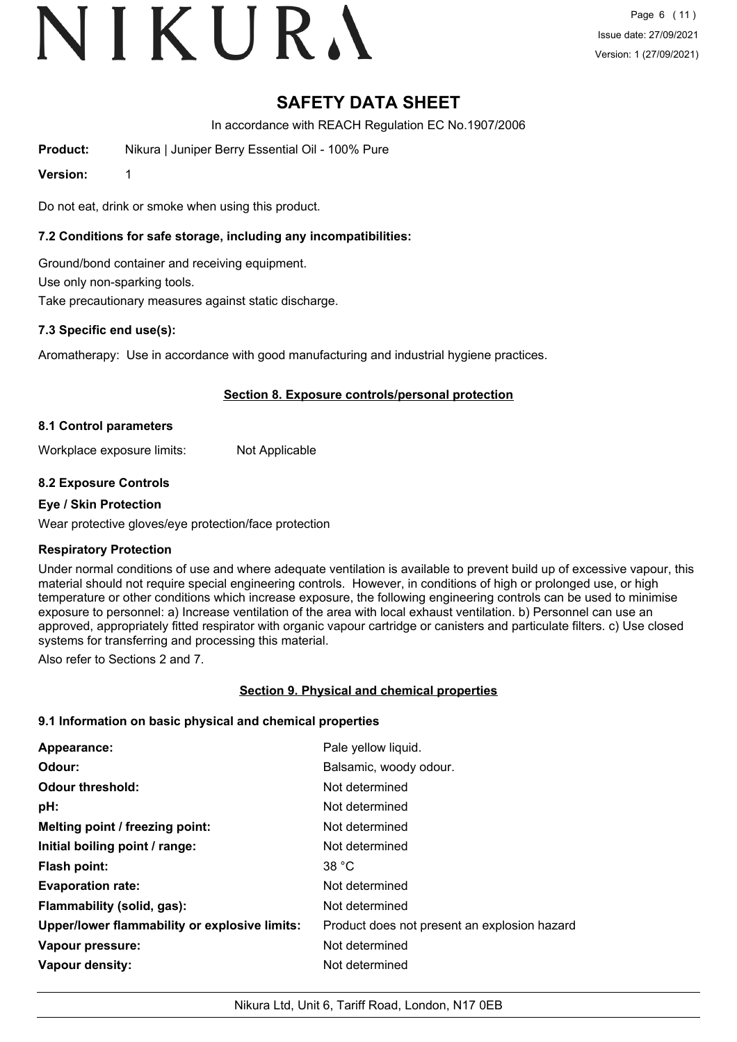# VIKURA

## **SAFETY DATA SHEET**

In accordance with REACH Regulation EC No.1907/2006

**Product:** Nikura | Juniper Berry Essential Oil - 100% Pure

**Version:** 1

Do not eat, drink or smoke when using this product.

#### **7.2 Conditions for safe storage, including any incompatibilities:**

Ground/bond container and receiving equipment. Use only non-sparking tools. Take precautionary measures against static discharge.

#### **7.3 Specific end use(s):**

Aromatherapy: Use in accordance with good manufacturing and industrial hygiene practices.

#### **Section 8. Exposure controls/personal protection**

#### **8.1 Control parameters**

Workplace exposure limits: Not Applicable

#### **8.2 Exposure Controls**

#### **Eye / Skin Protection**

Wear protective gloves/eye protection/face protection

#### **Respiratory Protection**

Under normal conditions of use and where adequate ventilation is available to prevent build up of excessive vapour, this material should not require special engineering controls. However, in conditions of high or prolonged use, or high temperature or other conditions which increase exposure, the following engineering controls can be used to minimise exposure to personnel: a) Increase ventilation of the area with local exhaust ventilation. b) Personnel can use an approved, appropriately fitted respirator with organic vapour cartridge or canisters and particulate filters. c) Use closed systems for transferring and processing this material.

Also refer to Sections 2 and 7.

#### **Section 9. Physical and chemical properties**

#### **9.1 Information on basic physical and chemical properties**

| Appearance:                                   | Pale yellow liquid.                          |
|-----------------------------------------------|----------------------------------------------|
| Odour:                                        | Balsamic, woody odour.                       |
| <b>Odour threshold:</b>                       | Not determined                               |
| pH:                                           | Not determined                               |
| Melting point / freezing point:               | Not determined                               |
| Initial boiling point / range:                | Not determined                               |
| Flash point:                                  | 38 °C                                        |
| <b>Evaporation rate:</b>                      | Not determined                               |
| Flammability (solid, gas):                    | Not determined                               |
| Upper/lower flammability or explosive limits: | Product does not present an explosion hazard |
| Vapour pressure:                              | Not determined                               |
| Vapour density:                               | Not determined                               |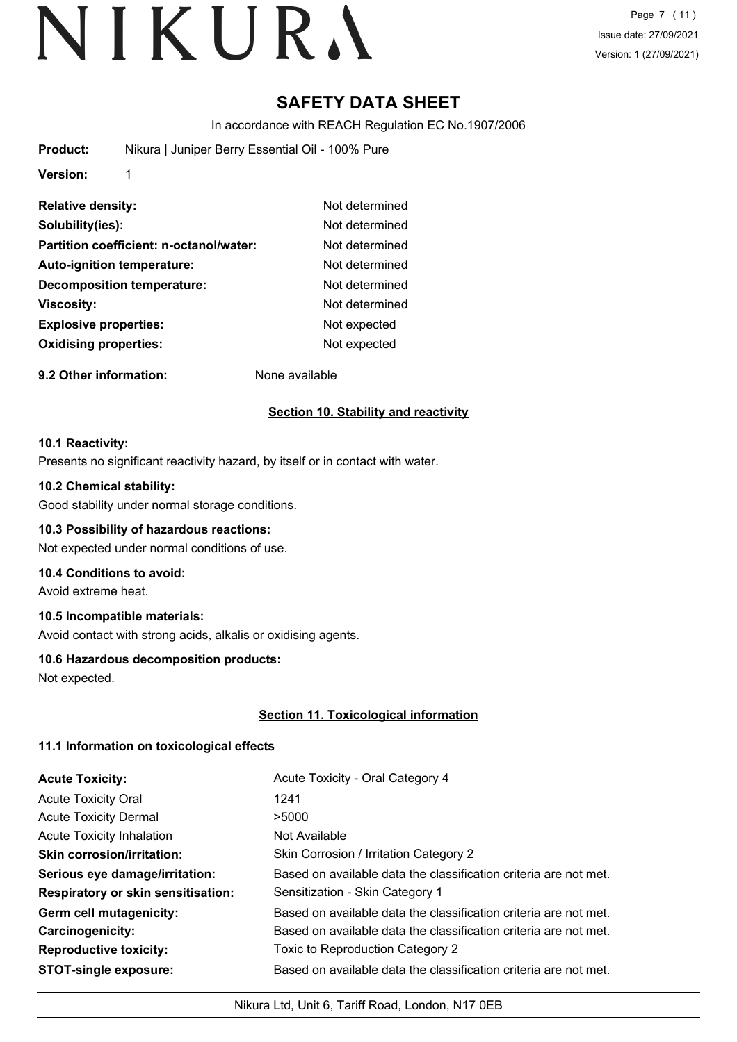## **SAFETY DATA SHEET**

In accordance with REACH Regulation EC No.1907/2006

| Nikura   Juniper Berry Essential Oil - 100% Pure |
|--------------------------------------------------|
|                                                  |

**Version:** 1

| <b>Relative density:</b>                | Not determined |
|-----------------------------------------|----------------|
| Solubility(ies):                        | Not determined |
| Partition coefficient: n-octanol/water: | Not determined |
| <b>Auto-ignition temperature:</b>       | Not determined |
| <b>Decomposition temperature:</b>       | Not determined |
| Viscosity:                              | Not determined |
| <b>Explosive properties:</b>            | Not expected   |
| <b>Oxidising properties:</b>            | Not expected   |

**9.2 Other information:** None available

## **Section 10. Stability and reactivity**

#### **10.1 Reactivity:**

Presents no significant reactivity hazard, by itself or in contact with water.

#### **10.2 Chemical stability:**

Good stability under normal storage conditions.

#### **10.3 Possibility of hazardous reactions:**

Not expected under normal conditions of use.

#### **10.4 Conditions to avoid:**

Avoid extreme heat.

#### **10.5 Incompatible materials:**

Avoid contact with strong acids, alkalis or oxidising agents.

#### **10.6 Hazardous decomposition products:**

Not expected.

#### **Section 11. Toxicological information**

#### **11.1 Information on toxicological effects**

| <b>Acute Toxicity:</b>                    | Acute Toxicity - Oral Category 4                                 |
|-------------------------------------------|------------------------------------------------------------------|
| <b>Acute Toxicity Oral</b>                | 1241                                                             |
| <b>Acute Toxicity Dermal</b>              | >5000                                                            |
| <b>Acute Toxicity Inhalation</b>          | Not Available                                                    |
| <b>Skin corrosion/irritation:</b>         | Skin Corrosion / Irritation Category 2                           |
| Serious eye damage/irritation:            | Based on available data the classification criteria are not met. |
| <b>Respiratory or skin sensitisation:</b> | Sensitization - Skin Category 1                                  |
| Germ cell mutagenicity:                   | Based on available data the classification criteria are not met. |
| <b>Carcinogenicity:</b>                   | Based on available data the classification criteria are not met. |
| <b>Reproductive toxicity:</b>             | Toxic to Reproduction Category 2                                 |
| <b>STOT-single exposure:</b>              | Based on available data the classification criteria are not met. |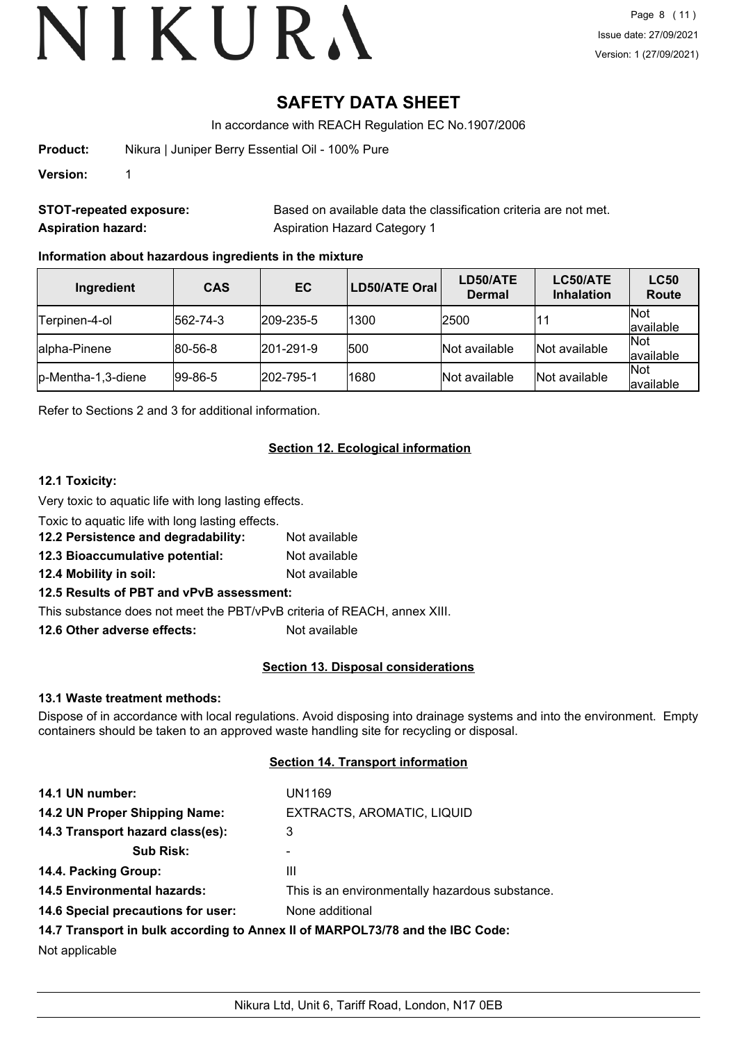## **SAFETY DATA SHEET**

In accordance with REACH Regulation EC No.1907/2006

**Product:** Nikura | Juniper Berry Essential Oil - 100% Pure

**Version:** 1

**STOT-repeated exposure:** Based on available data the classification criteria are not met. **Aspiration hazard:** Aspiration Hazard Category 1

#### **Information about hazardous ingredients in the mixture**

| Ingredient          | <b>CAS</b>      | EC                | LD50/ATE Oral | LD50/ATE<br><b>Dermal</b> | LC50/ATE<br><b>Inhalation</b> | <b>LC50</b><br><b>Route</b> |
|---------------------|-----------------|-------------------|---------------|---------------------------|-------------------------------|-----------------------------|
| lTerpinen-4-ol      | 562-74-3        | $ 209 - 235 - 5 $ | 1300          | 2500                      |                               | Not<br>available            |
| lalpha-Pinene       | $ 80 - 56 - 8 $ | $ 201 - 291 - 9 $ | 500           | Not available             | Not available                 | Not<br>available            |
| lp-Mentha-1,3-diene | $ 99-86-5 $     | 202-795-1         | 1680          | Not available             | Not available                 | Not<br>available            |

Refer to Sections 2 and 3 for additional information.

#### **Section 12. Ecological information**

#### **12.1 Toxicity:**

Very toxic to aquatic life with long lasting effects.

Toxic to aquatic life with long lasting effects.

- **12.2 Persistence and degradability:** Not available
- **12.3 Bioaccumulative potential:** Not available

**12.4 Mobility in soil:** Not available

#### **12.5 Results of PBT and vPvB assessment:**

This substance does not meet the PBT/vPvB criteria of REACH, annex XIII.

**12.6 Other adverse effects:** Not available

#### **Section 13. Disposal considerations**

#### **13.1 Waste treatment methods:**

Dispose of in accordance with local regulations. Avoid disposing into drainage systems and into the environment. Empty containers should be taken to an approved waste handling site for recycling or disposal.

#### **Section 14. Transport information**

| 14.1 UN number:                    | UN1169                                                                        |
|------------------------------------|-------------------------------------------------------------------------------|
| 14.2 UN Proper Shipping Name:      | EXTRACTS, AROMATIC, LIQUID                                                    |
| 14.3 Transport hazard class(es):   | 3                                                                             |
| <b>Sub Risk:</b>                   | -                                                                             |
| 14.4. Packing Group:               | Ш                                                                             |
| <b>14.5 Environmental hazards:</b> | This is an environmentally hazardous substance.                               |
| 14.6 Special precautions for user: | None additional                                                               |
|                                    | 14.7 Transport in bulk according to Annex II of MARPOL73/78 and the IBC Code: |
| Not applicable                     |                                                                               |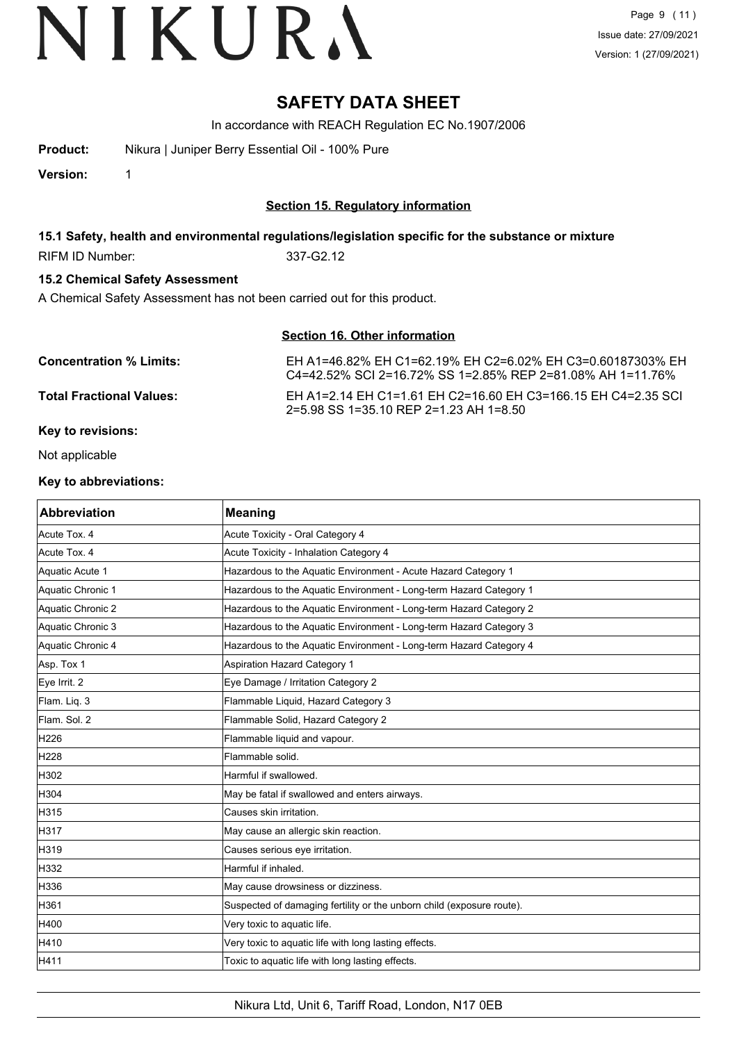### **SAFETY DATA SHEET**

In accordance with REACH Regulation EC No.1907/2006

**Product:** Nikura | Juniper Berry Essential Oil - 100% Pure

**Version:** 1

#### **Section 15. Regulatory information**

#### **15.1 Safety, health and environmental regulations/legislation specific for the substance or mixture**

RIFM ID Number: 337-G2.12

#### **15.2 Chemical Safety Assessment**

A Chemical Safety Assessment has not been carried out for this product.

#### **Section 16. Other information**

| <b>Concentration % Limits:</b>  | EH A1=46.82% EH C1=62.19% EH C2=6.02% EH C3=0.60187303% EH<br>C4=42.52% SCI 2=16.72% SS 1=2.85% REP 2=81.08% AH 1=11.76% |
|---------------------------------|--------------------------------------------------------------------------------------------------------------------------|
| <b>Total Fractional Values:</b> | EH A1=2.14 EH C1=1.61 EH C2=16.60 EH C3=166.15 EH C4=2.35 SCI<br>2=5.98 SS 1=35.10 REP 2=1.23 AH 1=8.50                  |
| <b>Key to revisions:</b>        |                                                                                                                          |

Not applicable

#### **Key to abbreviations:**

| <b>Abbreviation</b> | <b>Meaning</b>                                                        |
|---------------------|-----------------------------------------------------------------------|
| Acute Tox. 4        | Acute Toxicity - Oral Category 4                                      |
| Acute Tox. 4        | Acute Toxicity - Inhalation Category 4                                |
| Aquatic Acute 1     | Hazardous to the Aquatic Environment - Acute Hazard Category 1        |
| Aquatic Chronic 1   | Hazardous to the Aquatic Environment - Long-term Hazard Category 1    |
| Aquatic Chronic 2   | Hazardous to the Aquatic Environment - Long-term Hazard Category 2    |
| Aquatic Chronic 3   | Hazardous to the Aquatic Environment - Long-term Hazard Category 3    |
| Aquatic Chronic 4   | Hazardous to the Aquatic Environment - Long-term Hazard Category 4    |
| Asp. Tox 1          | Aspiration Hazard Category 1                                          |
| Eye Irrit. 2        | Eye Damage / Irritation Category 2                                    |
| Flam. Liq. 3        | Flammable Liquid, Hazard Category 3                                   |
| Flam. Sol. 2        | Flammable Solid, Hazard Category 2                                    |
| H226                | Flammable liquid and vapour.                                          |
| H228                | Flammable solid.                                                      |
| H302                | Harmful if swallowed.                                                 |
| H304                | May be fatal if swallowed and enters airways.                         |
| H315                | lCauses skin irritation.                                              |
| H317                | May cause an allergic skin reaction.                                  |
| H319                | Causes serious eye irritation.                                        |
| H332                | Harmful if inhaled.                                                   |
| H336                | May cause drowsiness or dizziness.                                    |
| H361                | Suspected of damaging fertility or the unborn child (exposure route). |
| H400                | Very toxic to aquatic life.                                           |
| H410                | Very toxic to aquatic life with long lasting effects.                 |
| H411                | Toxic to aquatic life with long lasting effects.                      |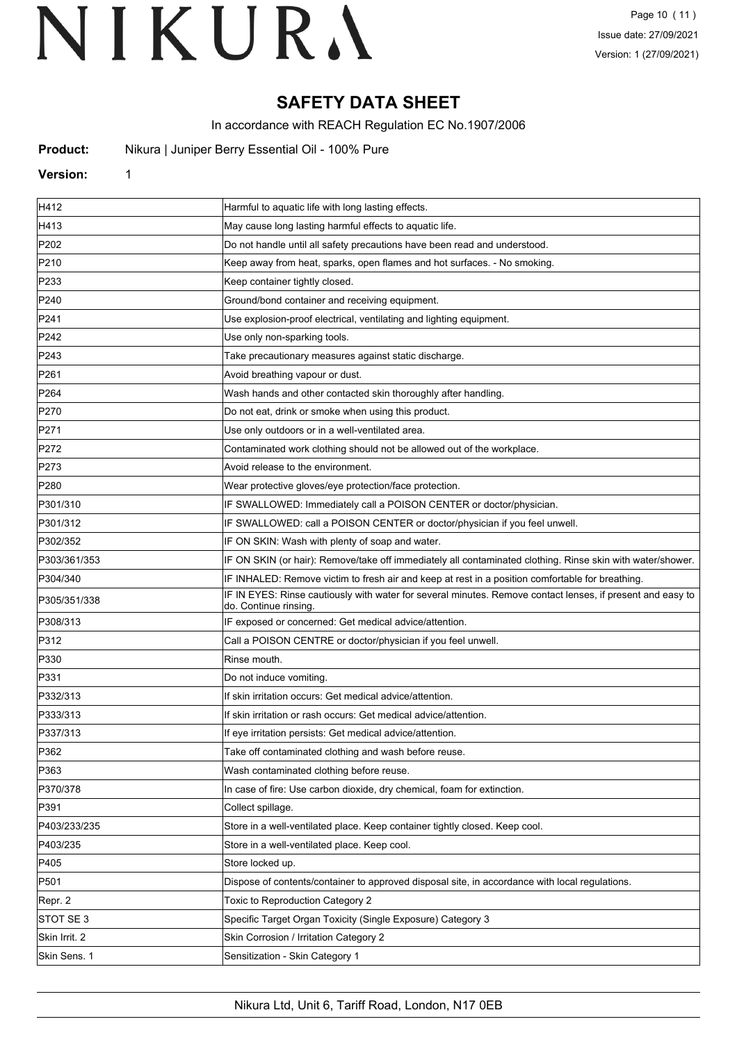## **SAFETY DATA SHEET**

In accordance with REACH Regulation EC No.1907/2006

**Nikura | Juniper Berry Essential Oil - 100% Pure** 

#### **Version:** 1

| H412             | Harmful to aquatic life with long lasting effects.                                                                                 |
|------------------|------------------------------------------------------------------------------------------------------------------------------------|
| H413             | May cause long lasting harmful effects to aquatic life.                                                                            |
| P202             | Do not handle until all safety precautions have been read and understood.                                                          |
| P210             | Keep away from heat, sparks, open flames and hot surfaces. - No smoking.                                                           |
| P233             | Keep container tightly closed.                                                                                                     |
| P240             | Ground/bond container and receiving equipment.                                                                                     |
| P241             | Use explosion-proof electrical, ventilating and lighting equipment.                                                                |
| P242             | Use only non-sparking tools.                                                                                                       |
| P243             | Take precautionary measures against static discharge.                                                                              |
| P261             | Avoid breathing vapour or dust.                                                                                                    |
| P <sub>264</sub> | Wash hands and other contacted skin thoroughly after handling.                                                                     |
| P270             | Do not eat, drink or smoke when using this product.                                                                                |
| P271             | Use only outdoors or in a well-ventilated area.                                                                                    |
| P272             | Contaminated work clothing should not be allowed out of the workplace.                                                             |
| P273             | Avoid release to the environment.                                                                                                  |
| P280             | Wear protective gloves/eye protection/face protection.                                                                             |
| P301/310         | IF SWALLOWED: Immediately call a POISON CENTER or doctor/physician.                                                                |
| P301/312         | IF SWALLOWED: call a POISON CENTER or doctor/physician if you feel unwell.                                                         |
| P302/352         | IF ON SKIN: Wash with plenty of soap and water.                                                                                    |
| P303/361/353     | IF ON SKIN (or hair): Remove/take off immediately all contaminated clothing. Rinse skin with water/shower.                         |
| P304/340         | IF INHALED: Remove victim to fresh air and keep at rest in a position comfortable for breathing.                                   |
| P305/351/338     | IF IN EYES: Rinse cautiously with water for several minutes. Remove contact lenses, if present and easy to<br>do. Continue rinsing |
| P308/313         | IF exposed or concerned: Get medical advice/attention.                                                                             |
| P312             | Call a POISON CENTRE or doctor/physician if you feel unwell.                                                                       |
| P330             | Rinse mouth.                                                                                                                       |
| P331             | Do not induce vomiting.                                                                                                            |
| P332/313         | If skin irritation occurs: Get medical advice/attention.                                                                           |
| P333/313         | If skin irritation or rash occurs: Get medical advice/attention.                                                                   |
| P337/313         | If eye irritation persists: Get medical advice/attention.                                                                          |
| P362             | Take off contaminated clothing and wash before reuse.                                                                              |
| P363             | Wash contaminated clothing before reuse.                                                                                           |
| P370/378         | In case of fire: Use carbon dioxide, dry chemical, foam for extinction.                                                            |
| P391             | Collect spillage.                                                                                                                  |
| P403/233/235     | Store in a well-ventilated place. Keep container tightly closed. Keep cool.                                                        |
| P403/235         | Store in a well-ventilated place. Keep cool.                                                                                       |
| P405             | Store locked up.                                                                                                                   |
| P501             | Dispose of contents/container to approved disposal site, in accordance with local regulations.                                     |
| Repr. 2          | Toxic to Reproduction Category 2                                                                                                   |
| STOT SE 3        | Specific Target Organ Toxicity (Single Exposure) Category 3                                                                        |
| Skin Irrit. 2    | Skin Corrosion / Irritation Category 2                                                                                             |
| Skin Sens. 1     | Sensitization - Skin Category 1                                                                                                    |